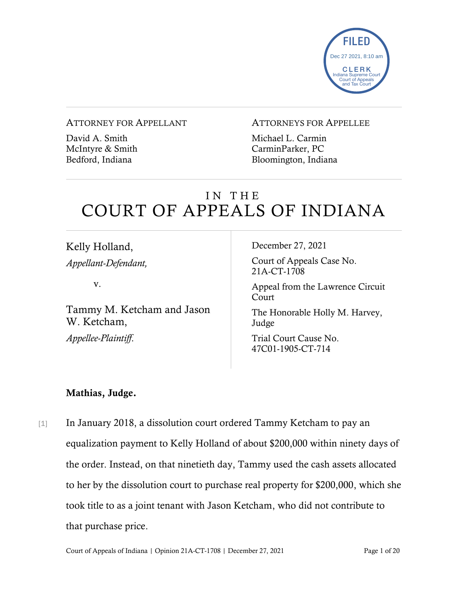

#### ATTORNEY FOR APPELLANT

David A. Smith McIntyre & Smith Bedford, Indiana

### ATTORNEYS FOR APPELLEE

Michael L. Carmin CarminParker, PC Bloomington, Indiana

# IN THE COURT OF APPEALS OF INDIANA

Kelly Holland, *Appellant-Defendant,*

v.

Tammy M. Ketcham and Jason W. Ketcham, *Appellee-Plaintiff*.

December 27, 2021

Court of Appeals Case No. 21A-CT-1708

Appeal from the Lawrence Circuit Court

The Honorable Holly M. Harvey, Judge

Trial Court Cause No. 47C01-1905-CT-714

### Mathias, Judge.

[1] In January 2018, a dissolution court ordered Tammy Ketcham to pay an equalization payment to Kelly Holland of about \$200,000 within ninety days of the order. Instead, on that ninetieth day, Tammy used the cash assets allocated to her by the dissolution court to purchase real property for \$200,000, which she took title to as a joint tenant with Jason Ketcham, who did not contribute to that purchase price.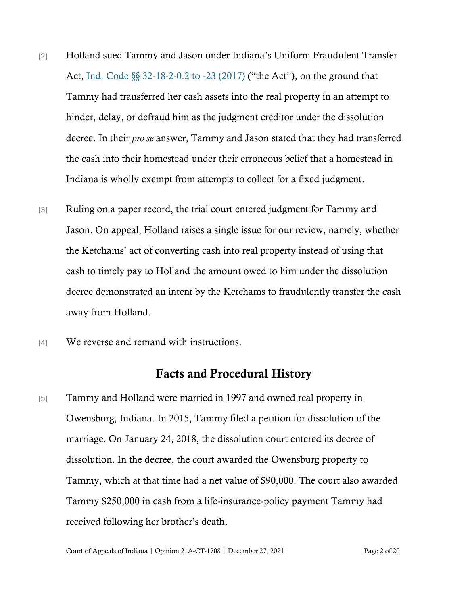- [2] Holland sued Tammy and Jason under Indiana's Uniform Fraudulent Transfer Act, [Ind. Code §§ 32-18-2-0.2 to -23 \(2017\)](https://www.westlaw.com/Document/NDF8F7950968A11E09837E34F117CD1A4/View/FullText.html?transitionType=Default&contextData=(sc.Default)&VR=3.0&RS=da3.0) ("the Act"), on the ground that Tammy had transferred her cash assets into the real property in an attempt to hinder, delay, or defraud him as the judgment creditor under the dissolution decree. In their *pro se* answer, Tammy and Jason stated that they had transferred the cash into their homestead under their erroneous belief that a homestead in Indiana is wholly exempt from attempts to collect for a fixed judgment.
- [3] Ruling on a paper record, the trial court entered judgment for Tammy and Jason. On appeal, Holland raises a single issue for our review, namely, whether the Ketchams' act of converting cash into real property instead of using that cash to timely pay to Holland the amount owed to him under the dissolution decree demonstrated an intent by the Ketchams to fraudulently transfer the cash away from Holland.
- [4] We reverse and remand with instructions.

### Facts and Procedural History

[5] Tammy and Holland were married in 1997 and owned real property in Owensburg, Indiana. In 2015, Tammy filed a petition for dissolution of the marriage. On January 24, 2018, the dissolution court entered its decree of dissolution. In the decree, the court awarded the Owensburg property to Tammy, which at that time had a net value of \$90,000. The court also awarded Tammy \$250,000 in cash from a life-insurance-policy payment Tammy had received following her brother's death.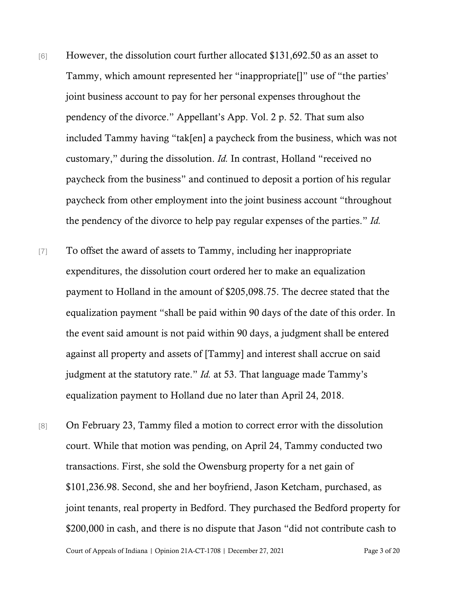- [6] However, the dissolution court further allocated \$131,692.50 as an asset to Tammy, which amount represented her "inappropriate[]" use of "the parties' joint business account to pay for her personal expenses throughout the pendency of the divorce." Appellant's App. Vol. 2 p. 52. That sum also included Tammy having "tak[en] a paycheck from the business, which was not customary," during the dissolution. *Id.* In contrast, Holland "received no paycheck from the business" and continued to deposit a portion of his regular paycheck from other employment into the joint business account "throughout the pendency of the divorce to help pay regular expenses of the parties." *Id.*
- [7] To offset the award of assets to Tammy, including her inappropriate expenditures, the dissolution court ordered her to make an equalization payment to Holland in the amount of \$205,098.75. The decree stated that the equalization payment "shall be paid within 90 days of the date of this order. In the event said amount is not paid within 90 days, a judgment shall be entered against all property and assets of [Tammy] and interest shall accrue on said judgment at the statutory rate." *Id.* at 53. That language made Tammy's equalization payment to Holland due no later than April 24, 2018.
- [8] On February 23, Tammy filed a motion to correct error with the dissolution court. While that motion was pending, on April 24, Tammy conducted two transactions. First, she sold the Owensburg property for a net gain of \$101,236.98. Second, she and her boyfriend, Jason Ketcham, purchased, as joint tenants, real property in Bedford. They purchased the Bedford property for \$200,000 in cash, and there is no dispute that Jason "did not contribute cash to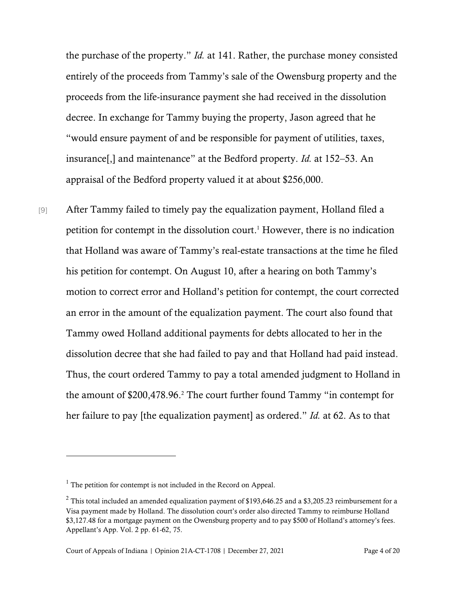the purchase of the property." *Id.* at 141. Rather, the purchase money consisted entirely of the proceeds from Tammy's sale of the Owensburg property and the proceeds from the life-insurance payment she had received in the dissolution decree. In exchange for Tammy buying the property, Jason agreed that he "would ensure payment of and be responsible for payment of utilities, taxes, insurance[,] and maintenance" at the Bedford property. *Id.* at 152–53. An appraisal of the Bedford property valued it at about \$256,000.

[9] After Tammy failed to timely pay the equalization payment, Holland filed a petition for contempt in the dissolution court. <sup>1</sup> However, there is no indication that Holland was aware of Tammy's real-estate transactions at the time he filed his petition for contempt. On August 10, after a hearing on both Tammy's motion to correct error and Holland's petition for contempt, the court corrected an error in the amount of the equalization payment. The court also found that Tammy owed Holland additional payments for debts allocated to her in the dissolution decree that she had failed to pay and that Holland had paid instead. Thus, the court ordered Tammy to pay a total amended judgment to Holland in the amount of \$200,478.96. <sup>2</sup> The court further found Tammy "in contempt for her failure to pay [the equalization payment] as ordered." *Id.* at 62. As to that

 $<sup>1</sup>$  The petition for contempt is not included in the Record on Appeal.</sup>

<sup>&</sup>lt;sup>2</sup> This total included an amended equalization payment of \$193,646.25 and a \$3,205.23 reimbursement for a Visa payment made by Holland. The dissolution court's order also directed Tammy to reimburse Holland \$3,127.48 for a mortgage payment on the Owensburg property and to pay \$500 of Holland's attorney's fees. Appellant's App. Vol. 2 pp. 61-62, 75.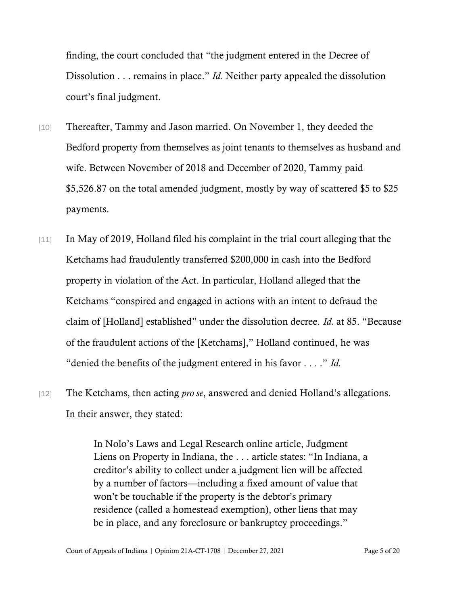finding, the court concluded that "the judgment entered in the Decree of Dissolution . . . remains in place." *Id.* Neither party appealed the dissolution court's final judgment.

- [10] Thereafter, Tammy and Jason married. On November 1, they deeded the Bedford property from themselves as joint tenants to themselves as husband and wife. Between November of 2018 and December of 2020, Tammy paid \$5,526.87 on the total amended judgment, mostly by way of scattered \$5 to \$25 payments.
- [11] In May of 2019, Holland filed his complaint in the trial court alleging that the Ketchams had fraudulently transferred \$200,000 in cash into the Bedford property in violation of the Act. In particular, Holland alleged that the Ketchams "conspired and engaged in actions with an intent to defraud the claim of [Holland] established" under the dissolution decree. *Id.* at 85. "Because of the fraudulent actions of the [Ketchams]," Holland continued, he was "denied the benefits of the judgment entered in his favor . . . ." *Id.*
- [12] The Ketchams, then acting *pro se*, answered and denied Holland's allegations. In their answer, they stated:

In Nolo's Laws and Legal Research online article, Judgment Liens on Property in Indiana, the . . . article states: "In Indiana, a creditor's ability to collect under a judgment lien will be affected by a number of factors—including a fixed amount of value that won't be touchable if the property is the debtor's primary residence (called a homestead exemption), other liens that may be in place, and any foreclosure or bankruptcy proceedings."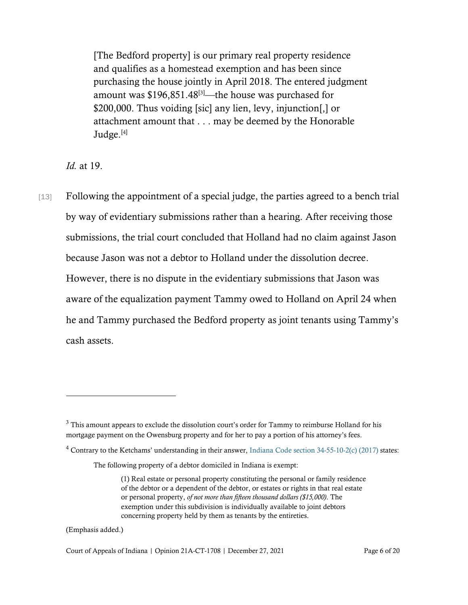[The Bedford property] is our primary real property residence and qualifies as a homestead exemption and has been since purchasing the house jointly in April 2018. The entered judgment amount was  $$196,851.48^{[3]}$  —the house was purchased for \$200,000. Thus voiding [sic] any lien, levy, injunction[,] or attachment amount that . . . may be deemed by the Honorable Judge.<sup>[4]</sup>

*Id.* at 19.

[13] Following the appointment of a special judge, the parties agreed to a bench trial by way of evidentiary submissions rather than a hearing. After receiving those submissions, the trial court concluded that Holland had no claim against Jason because Jason was not a debtor to Holland under the dissolution decree. However, there is no dispute in the evidentiary submissions that Jason was aware of the equalization payment Tammy owed to Holland on April 24 when he and Tammy purchased the Bedford property as joint tenants using Tammy's cash assets.

(Emphasis added.)

Court of Appeals of Indiana | Opinion 21A-CT-1708 | December 27, 2021 Page 6 of 20

<sup>&</sup>lt;sup>3</sup> This amount appears to exclude the dissolution court's order for Tammy to reimburse Holland for his mortgage payment on the Owensburg property and for her to pay a portion of his attorney's fees.

<sup>&</sup>lt;sup>4</sup> Contrary to the Ketchams' understanding in their answer[, Indiana Code section](https://www.westlaw.com/Document/NBA37E3D08D8411E18A4FF8A2523B657B/View/FullText.html?transitionType=Default&contextData=(sc.Default)&VR=3.0&RS=cblt1.0) 34-55-10-2(c) (2017) states:

The following property of a debtor domiciled in Indiana is exempt:

<sup>(1)</sup> Real estate or personal property constituting the personal or family residence of the debtor or a dependent of the debtor, or estates or rights in that real estate or personal property, *of not more than fifteen thousand dollars (\$15,000)*. The exemption under this subdivision is individually available to joint debtors concerning property held by them as tenants by the entireties.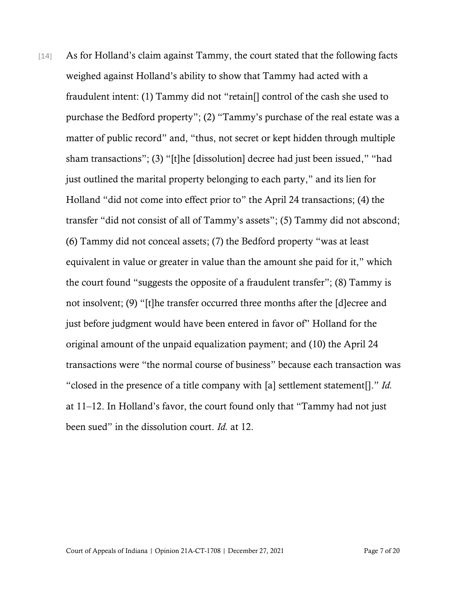[14] As for Holland's claim against Tammy, the court stated that the following facts weighed against Holland's ability to show that Tammy had acted with a fraudulent intent: (1) Tammy did not "retain[] control of the cash she used to purchase the Bedford property"; (2) "Tammy's purchase of the real estate was a matter of public record" and, "thus, not secret or kept hidden through multiple sham transactions"; (3) "[t]he [dissolution] decree had just been issued," "had just outlined the marital property belonging to each party," and its lien for Holland "did not come into effect prior to" the April 24 transactions; (4) the transfer "did not consist of all of Tammy's assets"; (5) Tammy did not abscond; (6) Tammy did not conceal assets; (7) the Bedford property "was at least equivalent in value or greater in value than the amount she paid for it," which the court found "suggests the opposite of a fraudulent transfer"; (8) Tammy is not insolvent; (9) "[t]he transfer occurred three months after the [d]ecree and just before judgment would have been entered in favor of" Holland for the original amount of the unpaid equalization payment; and (10) the April 24 transactions were "the normal course of business" because each transaction was "closed in the presence of a title company with [a] settlement statement[]." *Id.* at 11–12. In Holland's favor, the court found only that "Tammy had not just been sued" in the dissolution court. *Id.* at 12.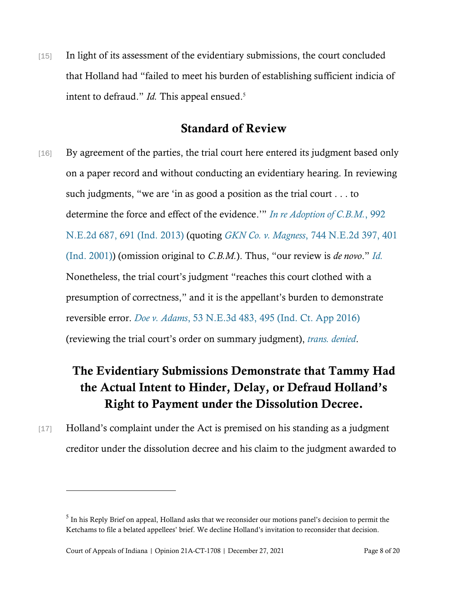[15] In light of its assessment of the evidentiary submissions, the court concluded that Holland had "failed to meet his burden of establishing sufficient indicia of intent to defraud." *Id.* This appeal ensued.<sup>5</sup>

## Standard of Review

[16] By agreement of the parties, the trial court here entered its judgment based only on a paper record and without conducting an evidentiary hearing. In reviewing such judgments, "we are 'in as good a position as the trial court . . . to determine the force and effect of the evidence.'" *[In re Adoption of C.B.M.](https://www.westlaw.com/Document/Icb06b3f906dd11e38503bda794601919/View/FullText.html?transitionType=Default&contextData=(sc.Default)&VR=3.0&RS=da3.0&fragmentIdentifier=co_pp_sp_578_691)*[, 992](https://www.westlaw.com/Document/Icb06b3f906dd11e38503bda794601919/View/FullText.html?transitionType=Default&contextData=(sc.Default)&VR=3.0&RS=da3.0&fragmentIdentifier=co_pp_sp_578_691)  [N.E.2d 687, 691 \(Ind. 2013\)](https://www.westlaw.com/Document/Icb06b3f906dd11e38503bda794601919/View/FullText.html?transitionType=Default&contextData=(sc.Default)&VR=3.0&RS=da3.0&fragmentIdentifier=co_pp_sp_578_691) (quoting *GKN Co. v. Magness*[, 744 N.E.2d 397, 401](https://www.westlaw.com/Document/I62c779c4d39811d99439b076ef9ec4de/View/FullText.html?transitionType=Default&contextData=(sc.Default)&VR=3.0&RS=da3.0&fragmentIdentifier=co_pp_sp_578_401)  [\(Ind. 2001\)\)](https://www.westlaw.com/Document/I62c779c4d39811d99439b076ef9ec4de/View/FullText.html?transitionType=Default&contextData=(sc.Default)&VR=3.0&RS=da3.0&fragmentIdentifier=co_pp_sp_578_401) (omission original to *C.B.M.*). Thus, "our review is *de novo*." *[Id.](https://www.westlaw.com/Document/Icb06b3f906dd11e38503bda794601919/View/FullText.html?transitionType=Default&contextData=(sc.Default)&VR=3.0&RS=da3.0)* Nonetheless, the trial court's judgment "reaches this court clothed with a presumption of correctness," and it is the appellant's burden to demonstrate reversible error. *Doe v. Adams*[, 53 N.E.3d 483, 495 \(Ind. Ct. App 2016\)](https://www.westlaw.com/Document/Idd1d8a8f06ca11e6b4bafa136b480ad2/View/FullText.html?transitionType=Default&contextData=(sc.Default)&VR=3.0&RS=cblt1.0) (reviewing the trial court's order on summary judgment), *[trans. denied](https://www.westlaw.com/Document/Idd1d8a8f06ca11e6b4bafa136b480ad2/View/FullText.html?transitionType=Default&contextData=(sc.Default)&VR=3.0&RS=cblt1.0)*.

# The Evidentiary Submissions Demonstrate that Tammy Had the Actual Intent to Hinder, Delay, or Defraud Holland's Right to Payment under the Dissolution Decree.

[17] Holland's complaint under the Act is premised on his standing as a judgment creditor under the dissolution decree and his claim to the judgment awarded to

 $<sup>5</sup>$  In his Reply Brief on appeal, Holland asks that we reconsider our motions panel's decision to permit the</sup> Ketchams to file a belated appellees' brief. We decline Holland's invitation to reconsider that decision.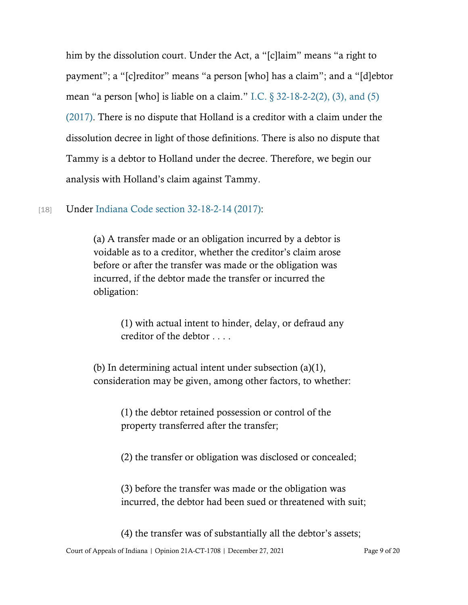him by the dissolution court. Under the Act, a "[c]laim" means "a right to payment"; a "[c]reditor" means "a person [who] has a claim"; and a "[d]ebtor mean "a person [who] is liable on a claim." I.C.  $\S$  32-18-2-2(2), (3), and (5) [\(2017\).](https://www.westlaw.com/Document/N57F019C050C211E7BD629002F086D16E/View/FullText.html?transitionType=Default&contextData=(sc.Default)&VR=3.0&RS=cblt1.0) There is no dispute that Holland is a creditor with a claim under the dissolution decree in light of those definitions. There is also no dispute that Tammy is a debtor to Holland under the decree. Therefore, we begin our analysis with Holland's claim against Tammy.

### [18] Under [Indiana Code section 32-18-2-14 \(2017\):](https://www.westlaw.com/Document/N6911C82050C211E7BD629002F086D16E/View/FullText.html?transitionType=Default&contextData=(sc.Default)&VR=3.0&RS=cblt1.0)

(a) A transfer made or an obligation incurred by a debtor is voidable as to a creditor, whether the creditor's claim arose before or after the transfer was made or the obligation was incurred, if the debtor made the transfer or incurred the obligation:

> (1) with actual intent to hinder, delay, or defraud any creditor of the debtor . . . .

(b) In determining actual intent under subsection (a)(1), consideration may be given, among other factors, to whether:

> (1) the debtor retained possession or control of the property transferred after the transfer;

(2) the transfer or obligation was disclosed or concealed;

(3) before the transfer was made or the obligation was incurred, the debtor had been sued or threatened with suit;

(4) the transfer was of substantially all the debtor's assets;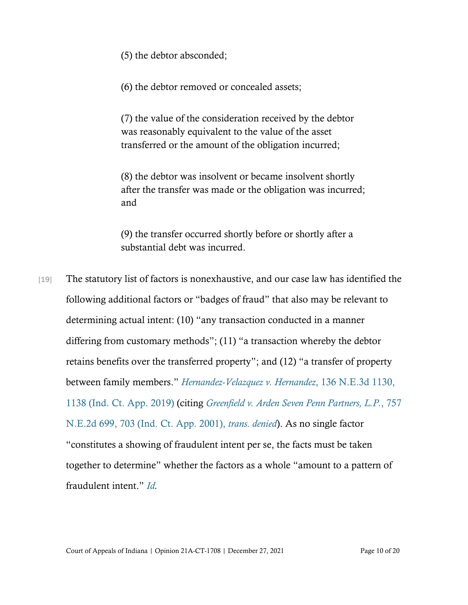(5) the debtor absconded;

(6) the debtor removed or concealed assets;

(7) the value of the consideration received by the debtor was reasonably equivalent to the value of the asset transferred or the amount of the obligation incurred;

(8) the debtor was insolvent or became insolvent shortly after the transfer was made or the obligation was incurred; and

(9) the transfer occurred shortly before or shortly after a substantial debt was incurred.

[19] The statutory list of factors is nonexhaustive, and our case law has identified the following additional factors or "badges of fraud" that also may be relevant to determining actual intent: (10) "any transaction conducted in a manner differing from customary methods"; (11) "a transaction whereby the debtor retains benefits over the transferred property"; and (12) "a transfer of property between family members." *[Hernandez-Velazquez v.](https://www.westlaw.com/Document/I98ae8d80071711ea8d9494c64d4c96f1/View/FullText.html?transitionType=Default&contextData=(sc.Default)&VR=3.0&RS=da3.0&fragmentIdentifier=co_pp_sp_7902_1138) Hernandez*[, 136 N.E.3d 1130,](https://www.westlaw.com/Document/I98ae8d80071711ea8d9494c64d4c96f1/View/FullText.html?transitionType=Default&contextData=(sc.Default)&VR=3.0&RS=da3.0&fragmentIdentifier=co_pp_sp_7902_1138)  [1138 \(Ind. Ct. App. 2019\)](https://www.westlaw.com/Document/I98ae8d80071711ea8d9494c64d4c96f1/View/FullText.html?transitionType=Default&contextData=(sc.Default)&VR=3.0&RS=da3.0&fragmentIdentifier=co_pp_sp_7902_1138) (citing *[Greenfield v. Arden Seven Penn Partners, L.P.](https://www.westlaw.com/Document/I2c9ccca3d39d11d9bf60c1d57ebc853e/View/FullText.html?transitionType=Default&contextData=(sc.Default)&VR=3.0&RS=da3.0&fragmentIdentifier=co_pp_sp_578_703)*[, 757](https://www.westlaw.com/Document/I2c9ccca3d39d11d9bf60c1d57ebc853e/View/FullText.html?transitionType=Default&contextData=(sc.Default)&VR=3.0&RS=da3.0&fragmentIdentifier=co_pp_sp_578_703)  [N.E.2d 699, 703 \(Ind. Ct. App. 2001\),](https://www.westlaw.com/Document/I2c9ccca3d39d11d9bf60c1d57ebc853e/View/FullText.html?transitionType=Default&contextData=(sc.Default)&VR=3.0&RS=da3.0&fragmentIdentifier=co_pp_sp_578_703) *trans. denied*). As no single factor "constitutes a showing of fraudulent intent per se, the facts must be taken together to determine" whether the factors as a whole "amount to a pattern of fraudulent intent." *[Id.](https://www.westlaw.com/Document/I98ae8d80071711ea8d9494c64d4c96f1/View/FullText.html?transitionType=Default&contextData=(sc.Default)&VR=3.0&RS=cblt1.0)*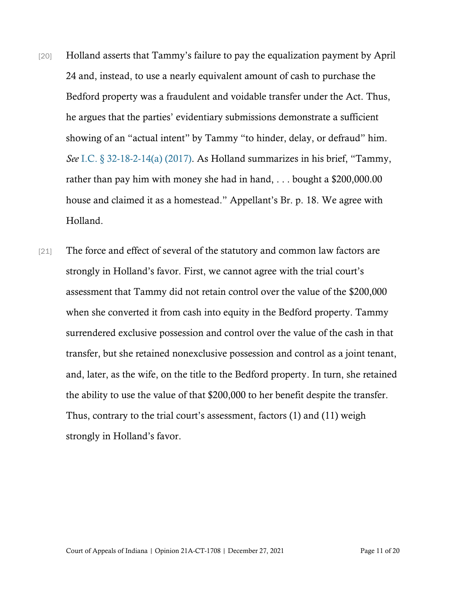- [20] Holland asserts that Tammy's failure to pay the equalization payment by April 24 and, instead, to use a nearly equivalent amount of cash to purchase the Bedford property was a fraudulent and voidable transfer under the Act. Thus, he argues that the parties' evidentiary submissions demonstrate a sufficient showing of an "actual intent" by Tammy "to hinder, delay, or defraud" him. *See* [I.C. § 32-18-2-14\(a\) \(2017\).](https://www.westlaw.com/Document/N6911C82050C211E7BD629002F086D16E/View/FullText.html?transitionType=Default&contextData=(sc.Default)&VR=3.0&RS=cblt1.0) As Holland summarizes in his brief, "Tammy, rather than pay him with money she had in hand, . . . bought a \$200,000.00 house and claimed it as a homestead." Appellant's Br. p. 18. We agree with Holland.
- [21] The force and effect of several of the statutory and common law factors are strongly in Holland's favor. First, we cannot agree with the trial court's assessment that Tammy did not retain control over the value of the \$200,000 when she converted it from cash into equity in the Bedford property. Tammy surrendered exclusive possession and control over the value of the cash in that transfer, but she retained nonexclusive possession and control as a joint tenant, and, later, as the wife, on the title to the Bedford property. In turn, she retained the ability to use the value of that \$200,000 to her benefit despite the transfer. Thus, contrary to the trial court's assessment, factors (1) and (11) weigh strongly in Holland's favor.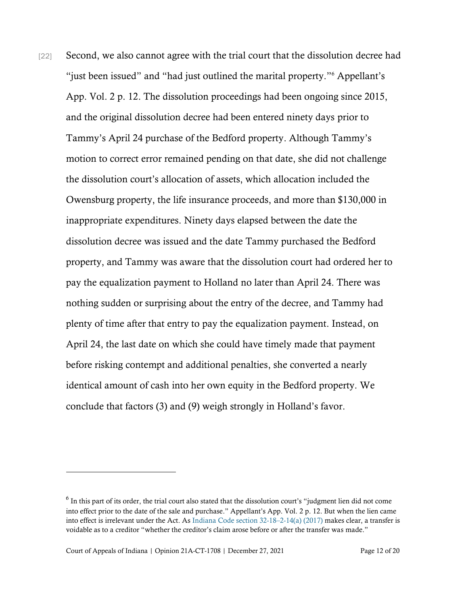[22] Second, we also cannot agree with the trial court that the dissolution decree had "just been issued" and "had just outlined the marital property."<sup>6</sup> Appellant's App. Vol. 2 p. 12. The dissolution proceedings had been ongoing since 2015, and the original dissolution decree had been entered ninety days prior to Tammy's April 24 purchase of the Bedford property. Although Tammy's motion to correct error remained pending on that date, she did not challenge the dissolution court's allocation of assets, which allocation included the Owensburg property, the life insurance proceeds, and more than \$130,000 in inappropriate expenditures. Ninety days elapsed between the date the dissolution decree was issued and the date Tammy purchased the Bedford property, and Tammy was aware that the dissolution court had ordered her to pay the equalization payment to Holland no later than April 24. There was nothing sudden or surprising about the entry of the decree, and Tammy had plenty of time after that entry to pay the equalization payment. Instead, on April 24, the last date on which she could have timely made that payment before risking contempt and additional penalties, she converted a nearly identical amount of cash into her own equity in the Bedford property. We conclude that factors (3) and (9) weigh strongly in Holland's favor.

 $6$  In this part of its order, the trial court also stated that the dissolution court's "judgment lien did not come into effect prior to the date of the sale and purchase." Appellant's App. Vol. 2 p. 12. But when the lien came into effect is irrelevant under the Act. A[s Indiana Code section 32-18](https://www.westlaw.com/Document/N6911C82050C211E7BD629002F086D16E/View/FullText.html?transitionType=Default&contextData=(sc.Default)&VR=3.0&RS=cblt1.0)–2-14(a) (2017) makes clear, a transfer is voidable as to a creditor "whether the creditor's claim arose before or after the transfer was made."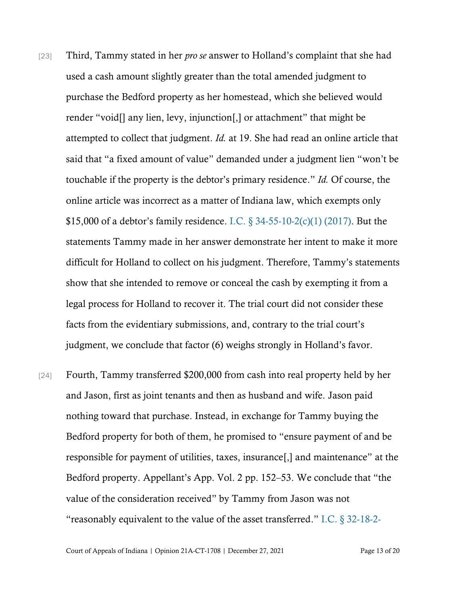- [23] Third, Tammy stated in her *pro se* answer to Holland's complaint that she had used a cash amount slightly greater than the total amended judgment to purchase the Bedford property as her homestead, which she believed would render "void[] any lien, levy, injunction[,] or attachment" that might be attempted to collect that judgment. *Id.* at 19. She had read an online article that said that "a fixed amount of value" demanded under a judgment lien "won't be touchable if the property is the debtor's primary residence." *Id.* Of course, the online article was incorrect as a matter of Indiana law, which exempts only \$15,000 of a debtor's family residence. I.C.  $\S 34-55-10-2(c)(1)$  (2017). But the statements Tammy made in her answer demonstrate her intent to make it more difficult for Holland to collect on his judgment. Therefore, Tammy's statements show that she intended to remove or conceal the cash by exempting it from a legal process for Holland to recover it. The trial court did not consider these facts from the evidentiary submissions, and, contrary to the trial court's judgment, we conclude that factor (6) weighs strongly in Holland's favor.
- [24] Fourth, Tammy transferred \$200,000 from cash into real property held by her and Jason, first as joint tenants and then as husband and wife. Jason paid nothing toward that purchase. Instead, in exchange for Tammy buying the Bedford property for both of them, he promised to "ensure payment of and be responsible for payment of utilities, taxes, insurance[,] and maintenance" at the Bedford property. Appellant's App. Vol. 2 pp. 152–53. We conclude that "the value of the consideration received" by Tammy from Jason was not "reasonably equivalent to the value of the asset transferred." [I.C. § 32-18-2-](https://www.westlaw.com/Document/N6911C82050C211E7BD629002F086D16E/View/FullText.html?transitionType=Default&contextData=(sc.Default)&VR=3.0&RS=cblt1.0)

Court of Appeals of Indiana | Opinion 21A-CT-1708 | December 27, 2021 Page 13 of 20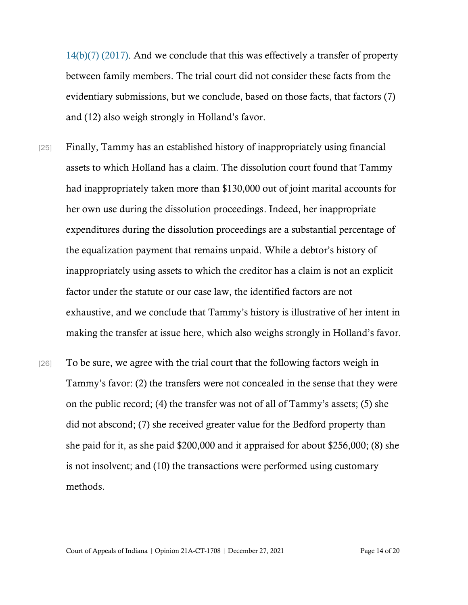[14\(b\)\(7\) \(2017\).](https://www.westlaw.com/Document/N6911C82050C211E7BD629002F086D16E/View/FullText.html?transitionType=Default&contextData=(sc.Default)&VR=3.0&RS=cblt1.0) And we conclude that this was effectively a transfer of property between family members. The trial court did not consider these facts from the evidentiary submissions, but we conclude, based on those facts, that factors (7) and (12) also weigh strongly in Holland's favor.

- [25] Finally, Tammy has an established history of inappropriately using financial assets to which Holland has a claim. The dissolution court found that Tammy had inappropriately taken more than \$130,000 out of joint marital accounts for her own use during the dissolution proceedings. Indeed, her inappropriate expenditures during the dissolution proceedings are a substantial percentage of the equalization payment that remains unpaid. While a debtor's history of inappropriately using assets to which the creditor has a claim is not an explicit factor under the statute or our case law, the identified factors are not exhaustive, and we conclude that Tammy's history is illustrative of her intent in making the transfer at issue here, which also weighs strongly in Holland's favor.
- [26] To be sure, we agree with the trial court that the following factors weigh in Tammy's favor: (2) the transfers were not concealed in the sense that they were on the public record; (4) the transfer was not of all of Tammy's assets; (5) she did not abscond; (7) she received greater value for the Bedford property than she paid for it, as she paid \$200,000 and it appraised for about \$256,000; (8) she is not insolvent; and (10) the transactions were performed using customary methods.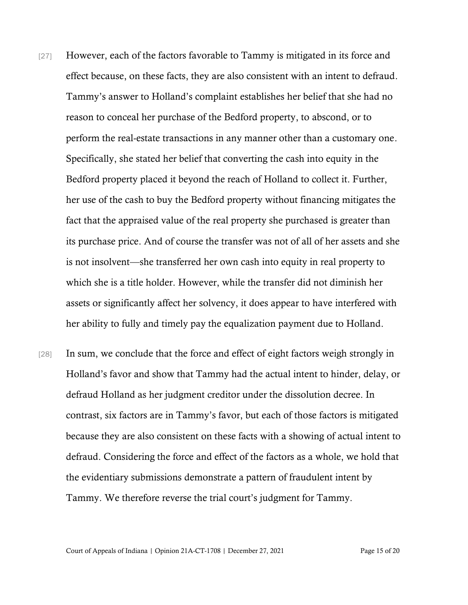- [27] However, each of the factors favorable to Tammy is mitigated in its force and effect because, on these facts, they are also consistent with an intent to defraud. Tammy's answer to Holland's complaint establishes her belief that she had no reason to conceal her purchase of the Bedford property, to abscond, or to perform the real-estate transactions in any manner other than a customary one. Specifically, she stated her belief that converting the cash into equity in the Bedford property placed it beyond the reach of Holland to collect it. Further, her use of the cash to buy the Bedford property without financing mitigates the fact that the appraised value of the real property she purchased is greater than its purchase price. And of course the transfer was not of all of her assets and she is not insolvent—she transferred her own cash into equity in real property to which she is a title holder. However, while the transfer did not diminish her assets or significantly affect her solvency, it does appear to have interfered with her ability to fully and timely pay the equalization payment due to Holland.
- [28] In sum, we conclude that the force and effect of eight factors weigh strongly in Holland's favor and show that Tammy had the actual intent to hinder, delay, or defraud Holland as her judgment creditor under the dissolution decree. In contrast, six factors are in Tammy's favor, but each of those factors is mitigated because they are also consistent on these facts with a showing of actual intent to defraud. Considering the force and effect of the factors as a whole, we hold that the evidentiary submissions demonstrate a pattern of fraudulent intent by Tammy. We therefore reverse the trial court's judgment for Tammy.

Court of Appeals of Indiana | Opinion 21A-CT-1708 | December 27, 2021 Page 15 of 20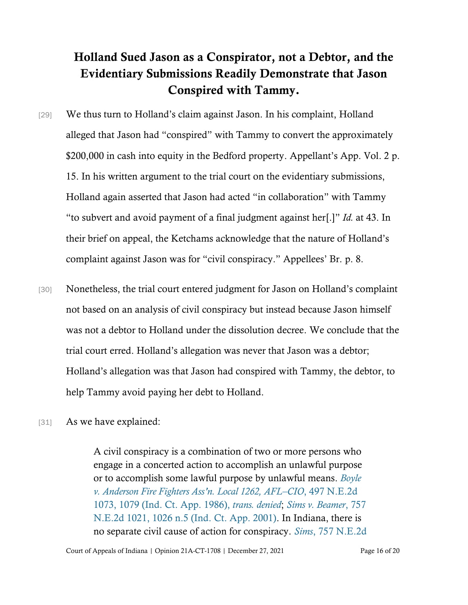## Holland Sued Jason as a Conspirator, not a Debtor, and the Evidentiary Submissions Readily Demonstrate that Jason Conspired with Tammy.

- [29] We thus turn to Holland's claim against Jason. In his complaint, Holland alleged that Jason had "conspired" with Tammy to convert the approximately \$200,000 in cash into equity in the Bedford property. Appellant's App. Vol. 2 p. 15. In his written argument to the trial court on the evidentiary submissions, Holland again asserted that Jason had acted "in collaboration" with Tammy "to subvert and avoid payment of a final judgment against her[.]" *Id.* at 43. In their brief on appeal, the Ketchams acknowledge that the nature of Holland's complaint against Jason was for "civil conspiracy." Appellees' Br. p. 8.
- [30] Nonetheless, the trial court entered judgment for Jason on Holland's complaint not based on an analysis of civil conspiracy but instead because Jason himself was not a debtor to Holland under the dissolution decree. We conclude that the trial court erred. Holland's allegation was never that Jason was a debtor; Holland's allegation was that Jason had conspired with Tammy, the debtor, to help Tammy avoid paying her debt to Holland.
- [31] As we have explained:

A civil conspiracy is a combination of two or more persons who engage in a concerted action to accomplish an unlawful purpose or to accomplish some lawful purpose by unlawful means. *[Boyle](https://www.westlaw.com/Document/I654408e2d38c11d99439b076ef9ec4de/View/FullText.html?transitionType=Default&contextData=(sc.Default)&VR=3.0&RS=cblt1.0)  [v. Anderson Fire Fighters Ass](https://www.westlaw.com/Document/I654408e2d38c11d99439b076ef9ec4de/View/FullText.html?transitionType=Default&contextData=(sc.Default)&VR=3.0&RS=cblt1.0)'n. Local 1262, AFL–CIO*, 497 N.E.2d [1073, 1079 \(Ind.](https://www.westlaw.com/Document/I654408e2d38c11d99439b076ef9ec4de/View/FullText.html?transitionType=Default&contextData=(sc.Default)&VR=3.0&RS=cblt1.0) Ct. App. 1986), *trans. denied*; *[Sims v. Beamer](https://www.westlaw.com/Document/I1fe248f7d39d11d99439b076ef9ec4de/View/FullText.html?transitionType=Default&contextData=(sc.Default)&VR=3.0&RS=da3.0&fragmentIdentifier=co_pp_sp_578_1026+n.5)*[, 757](https://www.westlaw.com/Document/I1fe248f7d39d11d99439b076ef9ec4de/View/FullText.html?transitionType=Default&contextData=(sc.Default)&VR=3.0&RS=da3.0&fragmentIdentifier=co_pp_sp_578_1026+n.5)  [N.E.2d 1021, 1026 n.5 \(Ind.](https://www.westlaw.com/Document/I1fe248f7d39d11d99439b076ef9ec4de/View/FullText.html?transitionType=Default&contextData=(sc.Default)&VR=3.0&RS=da3.0&fragmentIdentifier=co_pp_sp_578_1026+n.5) Ct. App. 2001). In Indiana, there is no separate civil cause of action for conspiracy. *Sims*[, 757 N.E.2d](https://www.westlaw.com/Document/I1fe248f7d39d11d99439b076ef9ec4de/View/FullText.html?transitionType=Default&contextData=(sc.Default)&VR=3.0&RS=da3.0&fragmentIdentifier=co_pp_sp_578_1026)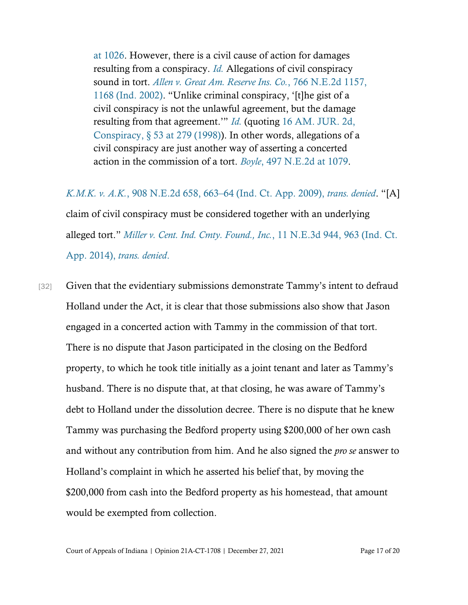[at 1026.](https://www.westlaw.com/Document/I1fe248f7d39d11d99439b076ef9ec4de/View/FullText.html?transitionType=Default&contextData=(sc.Default)&VR=3.0&RS=da3.0&fragmentIdentifier=co_pp_sp_578_1026) However, there is a civil cause of action for damages resulting from a conspiracy. *[Id.](https://www.westlaw.com/Document/I1fe248f7d39d11d99439b076ef9ec4de/View/FullText.html?transitionType=Default&contextData=(sc.Default)&VR=3.0&RS=da3.0)* Allegations of civil conspiracy sound in tort. *[Allen v. Great Am. Reserve Ins. Co.](https://www.westlaw.com/Document/I4f8858a6d38f11d98ac8f235252e36df/View/FullText.html?transitionType=Default&contextData=(sc.Default)&VR=3.0&RS=da3.0&fragmentIdentifier=co_pp_sp_578_1168)*[, 766 N.E.2d 1157,](https://www.westlaw.com/Document/I4f8858a6d38f11d98ac8f235252e36df/View/FullText.html?transitionType=Default&contextData=(sc.Default)&VR=3.0&RS=da3.0&fragmentIdentifier=co_pp_sp_578_1168)  [1168 \(Ind.](https://www.westlaw.com/Document/I4f8858a6d38f11d98ac8f235252e36df/View/FullText.html?transitionType=Default&contextData=(sc.Default)&VR=3.0&RS=da3.0&fragmentIdentifier=co_pp_sp_578_1168) 2002). "Unlike criminal conspiracy, '[t]he gist of a civil conspiracy is not the unlawful agreement, but the damage resulting from that agreement.'" *[Id.](https://www.westlaw.com/Document/I4f8858a6d38f11d98ac8f235252e36df/View/FullText.html?transitionType=Default&contextData=(sc.Default)&VR=3.0&RS=da3.0)* (quoting [16 AM. JUR.](https://www.westlaw.com/Document/I44696684b27b11d9815db1c9d88f7df2/View/FullText.html?transitionType=Default&contextData=(sc.Default)&VR=3.0&RS=da3.0) 2d, [Conspiracy, § 53 at 279 \(1998\)\)](https://www.westlaw.com/Document/I44696684b27b11d9815db1c9d88f7df2/View/FullText.html?transitionType=Default&contextData=(sc.Default)&VR=3.0&RS=da3.0). In other words, allegations of a civil conspiracy are just another way of asserting a concerted action in the commission of a tort. *[Boyle](https://www.westlaw.com/Document/I654408e2d38c11d99439b076ef9ec4de/View/FullText.html?transitionType=Default&contextData=(sc.Default)&VR=3.0&RS=da3.0&fragmentIdentifier=co_pp_sp_578_1079)*[, 497 N.E.2d at 1079.](https://www.westlaw.com/Document/I654408e2d38c11d99439b076ef9ec4de/View/FullText.html?transitionType=Default&contextData=(sc.Default)&VR=3.0&RS=da3.0&fragmentIdentifier=co_pp_sp_578_1079)

*K.M.K. v. A.K.*, 908 N.E.2d 658, 663–[64 \(Ind. Ct. App. 2009\),](https://www.westlaw.com/Document/Ib69dbfa5664d11deb08de1b7506ad85b/View/FullText.html?transitionType=Default&contextData=(sc.Default)&VR=3.0&RS=cblt1.0) *trans. denied*. "[A] claim of civil conspiracy must be considered together with an underlying alleged tort." *[Miller v. Cent. Ind. Cmty. Found., Inc.](https://www.westlaw.com/Document/I2b2d9425f21111e390d4edf60ce7d742/View/FullText.html?transitionType=Default&contextData=(sc.Default)&VR=3.0&RS=da3.0&fragmentIdentifier=co_pp_sp_7902_963)*, 11 N.E.3d 944, [963 \(Ind. Ct.](https://www.westlaw.com/Document/I2b2d9425f21111e390d4edf60ce7d742/View/FullText.html?transitionType=Default&contextData=(sc.Default)&VR=3.0&RS=da3.0&fragmentIdentifier=co_pp_sp_7902_963)  [App. 2014\),](https://www.westlaw.com/Document/I2b2d9425f21111e390d4edf60ce7d742/View/FullText.html?transitionType=Default&contextData=(sc.Default)&VR=3.0&RS=da3.0&fragmentIdentifier=co_pp_sp_7902_963) *trans. denied*.

[32] Given that the evidentiary submissions demonstrate Tammy's intent to defraud Holland under the Act, it is clear that those submissions also show that Jason engaged in a concerted action with Tammy in the commission of that tort. There is no dispute that Jason participated in the closing on the Bedford property, to which he took title initially as a joint tenant and later as Tammy's husband. There is no dispute that, at that closing, he was aware of Tammy's debt to Holland under the dissolution decree. There is no dispute that he knew Tammy was purchasing the Bedford property using \$200,000 of her own cash and without any contribution from him. And he also signed the *pro se* answer to Holland's complaint in which he asserted his belief that, by moving the \$200,000 from cash into the Bedford property as his homestead, that amount would be exempted from collection.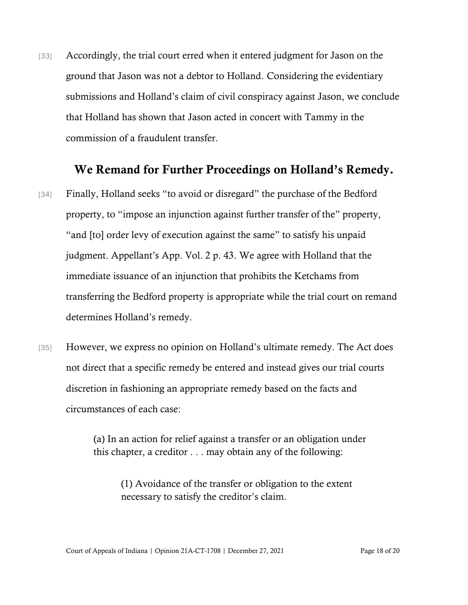[33] Accordingly, the trial court erred when it entered judgment for Jason on the ground that Jason was not a debtor to Holland. Considering the evidentiary submissions and Holland's claim of civil conspiracy against Jason, we conclude that Holland has shown that Jason acted in concert with Tammy in the commission of a fraudulent transfer.

## We Remand for Further Proceedings on Holland's Remedy.

- [34] Finally, Holland seeks "to avoid or disregard" the purchase of the Bedford property, to "impose an injunction against further transfer of the" property, "and [to] order levy of execution against the same" to satisfy his unpaid judgment. Appellant's App. Vol. 2 p. 43. We agree with Holland that the immediate issuance of an injunction that prohibits the Ketchams from transferring the Bedford property is appropriate while the trial court on remand determines Holland's remedy.
- [35] However, we express no opinion on Holland's ultimate remedy. The Act does not direct that a specific remedy be entered and instead gives our trial courts discretion in fashioning an appropriate remedy based on the facts and circumstances of each case:

(a) In an action for relief against a transfer or an obligation under this chapter, a creditor . . . may obtain any of the following:

(1) Avoidance of the transfer or obligation to the extent necessary to satisfy the creditor's claim.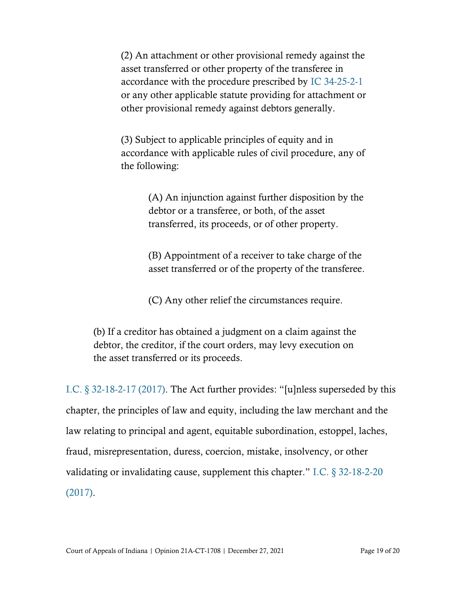(2) An attachment or other provisional remedy against the asset transferred or other property of the transferee in accordance with the procedure prescribed by [IC 34-25-2-1](https://www.westlaw.com/Document/N0595A6304AF511DE8ECCA4811EF4AE93/View/FullText.html?transitionType=Default&contextData=(sc.Default)&VR=3.0&RS=cblt1.0) or any other applicable statute providing for attachment or other provisional remedy against debtors generally.

(3) Subject to applicable principles of equity and in accordance with applicable rules of civil procedure, any of the following:

> (A) An injunction against further disposition by the debtor or a transferee, or both, of the asset transferred, its proceeds, or of other property.

> (B) Appointment of a receiver to take charge of the asset transferred or of the property of the transferee.

(C) Any other relief the circumstances require.

(b) If a creditor has obtained a judgment on a claim against the debtor, the creditor, if the court orders, may levy execution on the asset transferred or its proceeds.

[I.C. § 32-18-2-17 \(2017\).](https://www.westlaw.com/Document/NF749FC70816611DB8132CD13D2280436/View/FullText.html?transitionType=Default&contextData=(sc.Default)&VR=3.0&RS=cblt1.0) The Act further provides: "[u]nless superseded by this chapter, the principles of law and equity, including the law merchant and the law relating to principal and agent, equitable subordination, estoppel, laches, fraud, misrepresentation, duress, coercion, mistake, insolvency, or other validating or invalidating cause, supplement this chapter." [I.C. § 32-18-2-20](https://www.westlaw.com/Document/N00F1C1E0816711DB8132CD13D2280436/View/FullText.html?transitionType=Default&contextData=(sc.Default)&VR=3.0&RS=cblt1.0)  [\(2017\).](https://www.westlaw.com/Document/N00F1C1E0816711DB8132CD13D2280436/View/FullText.html?transitionType=Default&contextData=(sc.Default)&VR=3.0&RS=cblt1.0)